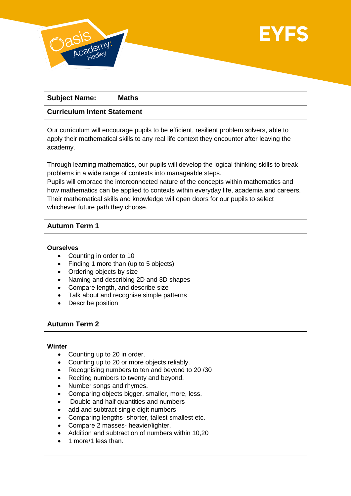

| <b>Subject Name:</b>                                                                                                                                                                                                                              | <b>Maths</b> |
|---------------------------------------------------------------------------------------------------------------------------------------------------------------------------------------------------------------------------------------------------|--------------|
| <b>Curriculum Intent Statement</b>                                                                                                                                                                                                                |              |
| Our curriculum will encourage pupils to be efficient, resilient problem solvers, able to<br>apply their mathematical skills to any real life context they encounter after leaving the<br>academy.                                                 |              |
| Through learning mathematics, our pupils will develop the logical thinking skills to break<br>problems in a wide range of contexts into manageable steps.<br>Pupils will embrace the interconnected nature of the concepts within mathematics and |              |
| how mathematics can be applied to contexts within everyday life, academia and careers.                                                                                                                                                            |              |

Their mathematical skills and knowledge will open doors for our pupils to select whichever future path they choose.

# **Autumn Term 1**

### **Ourselves**

- Counting in order to 10
- Finding 1 more than (up to 5 objects)
- Ordering objects by size
- Naming and describing 2D and 3D shapes
- Compare length, and describe size
- Talk about and recognise simple patterns
- Describe position

## **Autumn Term 2**

### **Winter**

- Counting up to 20 in order.
- Counting up to 20 or more objects reliably.
- Recognising numbers to ten and beyond to 20/30
- Reciting numbers to twenty and beyond.
- Number songs and rhymes.
- Comparing objects bigger, smaller, more, less.
- Double and half quantities and numbers
- add and subtract single digit numbers
- Comparing lengths- shorter, tallest smallest etc.
- Compare 2 masses- heavier/lighter.
- Addition and subtraction of numbers within 10,20
- 1 more/1 less than.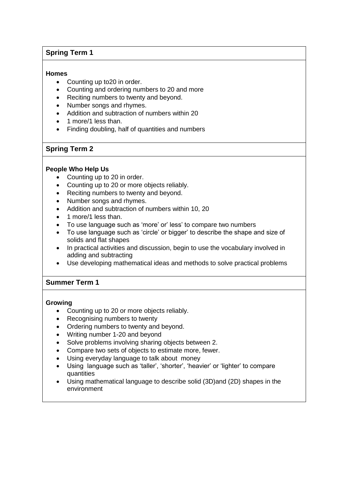# **Spring Term 1**

### **Homes**

- Counting up to 20 in order.
- Counting and ordering numbers to 20 and more
- Reciting numbers to twenty and beyond.
- Number songs and rhymes.
- Addition and subtraction of numbers within 20
- 1 more/1 less than.
- Finding doubling, half of quantities and numbers

## **Spring Term 2**

### **People Who Help Us**

- Counting up to 20 in order.
- Counting up to 20 or more objects reliably.
- Reciting numbers to twenty and beyond.
- Number songs and rhymes.
- Addition and subtraction of numbers within 10, 20
- 1 more/1 less than.
- To use language such as 'more' or' less' to compare two numbers
- To use language such as 'circle' or bigger' to describe the shape and size of solids and flat shapes
- In practical activities and discussion, begin to use the vocabulary involved in adding and subtracting
- Use developing mathematical ideas and methods to solve practical problems

### **Summer Term 1**

### **Growing**

- Counting up to 20 or more objects reliably.
- Recognising numbers to twenty
- Ordering numbers to twenty and beyond.
- Writing number 1-20 and beyond
- Solve problems involving sharing objects between 2.
- Compare two sets of objects to estimate more, fewer.
- Using everyday language to talk about money
- Using language such as 'taller', 'shorter', 'heavier' or 'lighter' to compare quantities
- Using mathematical language to describe solid (3D)and (2D) shapes in the environment